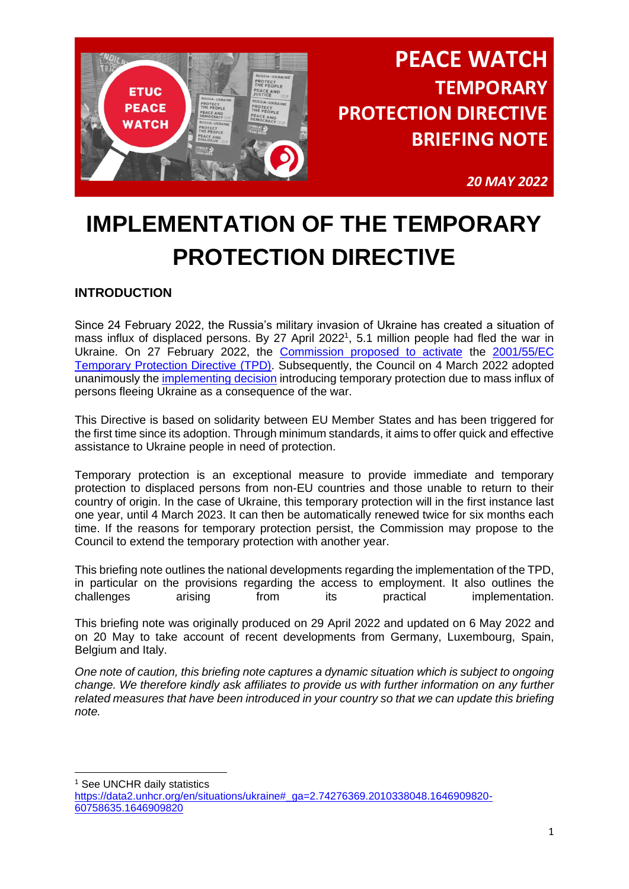

*20 MAY 2022*

# **IMPLEMENTATION OF THE TEMPORARY PROTECTION DIRECTIVE**

## **INTRODUCTION**

Since 24 February 2022, the Russia's military invasion of Ukraine has created a situation of mass influx of displaced persons. By 27 April 2022<sup>1</sup>, 5.1 million people had fled the war in Ukraine. On 27 February 2022, the [Commission proposed to activate](https://ec.europa.eu/commission/presscorner/detail/en/ip_22_1469) the [2001/55/EC](https://eur-lex.europa.eu/legal-content/EN/TXT/?uri=celex:32001L0055)  [Temporary Protection Directive](https://eur-lex.europa.eu/legal-content/EN/TXT/?uri=celex:32001L0055) (TPD). Subsequently, the Council on 4 March 2022 adopted unanimously the [implementing decision](https://eur-lex.europa.eu/legal-content/EN/TXT/?uri=uriserv:OJ.L_.2022.071.01.0001.01.ENG) introducing temporary protection due to mass influx of persons fleeing Ukraine as a consequence of the war.

This Directive is based on solidarity between EU Member States and has been triggered for the first time since its adoption. Through minimum standards, it aims to offer quick and effective assistance to Ukraine people in need of protection.

Temporary protection is an exceptional measure to provide immediate and temporary protection to displaced persons from non-EU countries and those unable to return to their country of origin. In the case of Ukraine, this temporary protection will in the first instance last one year, until 4 March 2023. It can then be automatically renewed twice for six months each time. If the reasons for temporary protection persist, the Commission may propose to the Council to extend the temporary protection with another year.

This briefing note outlines the national developments regarding the implementation of the TPD, in particular on the provisions regarding the access to employment. It also outlines the challenges arising from its practical implementation.

This briefing note was originally produced on 29 April 2022 and updated on 6 May 2022 and on 20 May to take account of recent developments from Germany, Luxembourg, Spain, Belgium and Italy.

*One note of caution, this briefing note captures a dynamic situation which is subject to ongoing change. We therefore kindly ask affiliates to provide us with further information on any further related measures that have been introduced in your country so that we can update this briefing note.*

<sup>1</sup> See UNCHR daily statistics

[https://data2.unhcr.org/en/situations/ukraine#\\_ga=2.74276369.2010338048.1646909820-](https://data2.unhcr.org/en/situations/ukraine#_ga=2.74276369.2010338048.1646909820-60758635.1646909820) [60758635.1646909820](https://data2.unhcr.org/en/situations/ukraine#_ga=2.74276369.2010338048.1646909820-60758635.1646909820)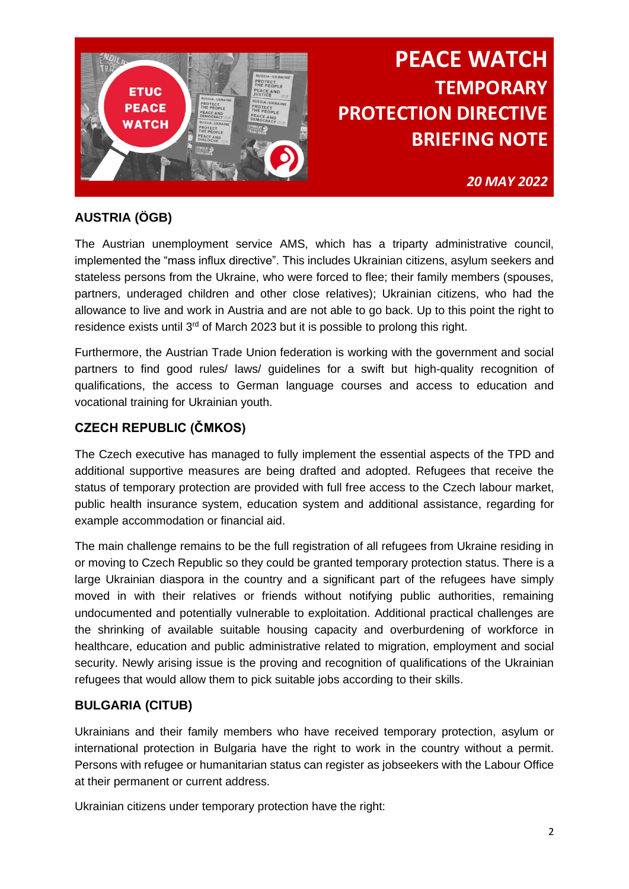

*20 MAY 2022*

## **AUSTRIA (ÖGB)**

The Austrian unemployment service AMS, which has a triparty administrative council, implemented the "mass influx directive". This includes Ukrainian citizens, asylum seekers and stateless persons from the Ukraine, who were forced to flee; their family members (spouses, partners, underaged children and other close relatives); Ukrainian citizens, who had the allowance to live and work in Austria and are not able to go back. Up to this point the right to residence exists until 3<sup>rd</sup> of March 2023 but it is possible to prolong this right.

Furthermore, the Austrian Trade Union federation is working with the government and social partners to find good rules/ laws/ guidelines for a swift but high-quality recognition of qualifications, the access to German language courses and access to education and vocational training for Ukrainian youth.

## **CZECH REPUBLIC (ČMKOS)**

The Czech executive has managed to fully implement the essential aspects of the TPD and additional supportive measures are being drafted and adopted. Refugees that receive the status of temporary protection are provided with full free access to the Czech labour market, public health insurance system, education system and additional assistance, regarding for example accommodation or financial aid.

The main challenge remains to be the full registration of all refugees from Ukraine residing in or moving to Czech Republic so they could be granted temporary protection status. There is a large Ukrainian diaspora in the country and a significant part of the refugees have simply moved in with their relatives or friends without notifying public authorities, remaining undocumented and potentially vulnerable to exploitation. Additional practical challenges are the shrinking of available suitable housing capacity and overburdening of workforce in healthcare, education and public administrative related to migration, employment and social security. Newly arising issue is the proving and recognition of qualifications of the Ukrainian refugees that would allow them to pick suitable jobs according to their skills.

## **BULGARIA (CITUB)**

Ukrainians and their family members who have received temporary protection, asylum or international protection in Bulgaria have the right to work in the country without a permit. Persons with refugee or humanitarian status can register as jobseekers with the Labour Office at their permanent or current address.

Ukrainian citizens under temporary protection have the right: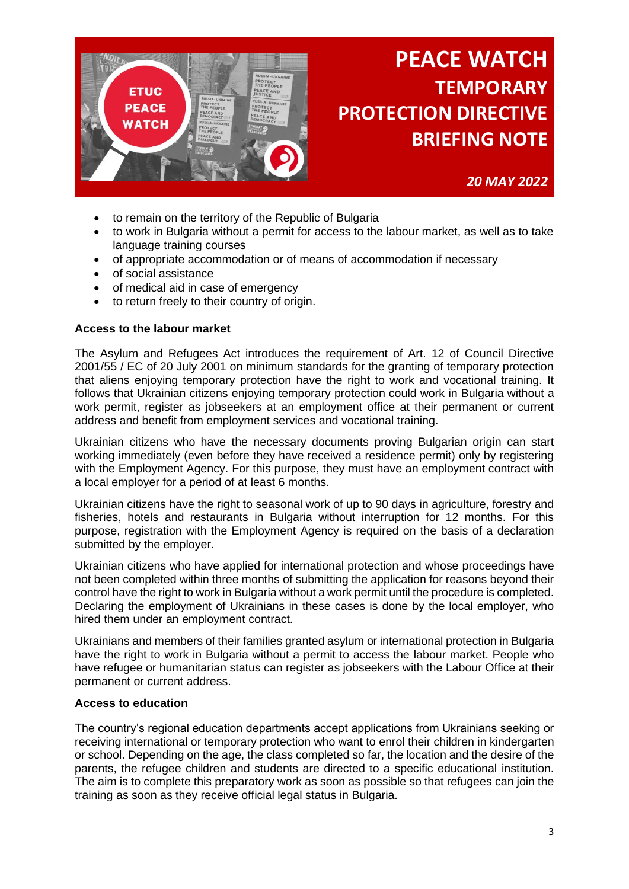

*20 MAY 2022*

- to remain on the territory of the Republic of Bulgaria
- to work in Bulgaria without a permit for access to the labour market, as well as to take language training courses
- of appropriate accommodation or of means of accommodation if necessary
- of social assistance
- of medical aid in case of emergency
- to return freely to their country of origin.

#### **Access to the labour market**

The Asylum and Refugees Act introduces the requirement of Art. 12 of Council Directive 2001/55 / EC of 20 July 2001 on minimum standards for the granting of temporary protection that aliens enjoying temporary protection have the right to work and vocational training. It follows that Ukrainian citizens enjoying temporary protection could work in Bulgaria without a work permit, register as jobseekers at an employment office at their permanent or current address and benefit from employment services and vocational training.

Ukrainian citizens who have the necessary documents proving Bulgarian origin can start working immediately (even before they have received a residence permit) only by registering with the Employment Agency. For this purpose, they must have an employment contract with a local employer for a period of at least 6 months.

Ukrainian citizens have the right to seasonal work of up to 90 days in agriculture, forestry and fisheries, hotels and restaurants in Bulgaria without interruption for 12 months. For this purpose, registration with the Employment Agency is required on the basis of a declaration submitted by the employer.

Ukrainian citizens who have applied for international protection and whose proceedings have not been completed within three months of submitting the application for reasons beyond their control have the right to work in Bulgaria without a work permit until the procedure is completed. Declaring the employment of Ukrainians in these cases is done by the local employer, who hired them under an employment contract.

Ukrainians and members of their families granted asylum or international protection in Bulgaria have the right to work in Bulgaria without a permit to access the labour market. People who have refugee or humanitarian status can register as jobseekers with the Labour Office at their permanent or current address.

#### **Access to education**

The country's regional education departments accept applications from Ukrainians seeking or receiving international or temporary protection who want to enrol their children in kindergarten or school. Depending on the age, the class completed so far, the location and the desire of the parents, the refugee children and students are directed to a specific educational institution. The aim is to complete this preparatory work as soon as possible so that refugees can join the training as soon as they receive official legal status in Bulgaria.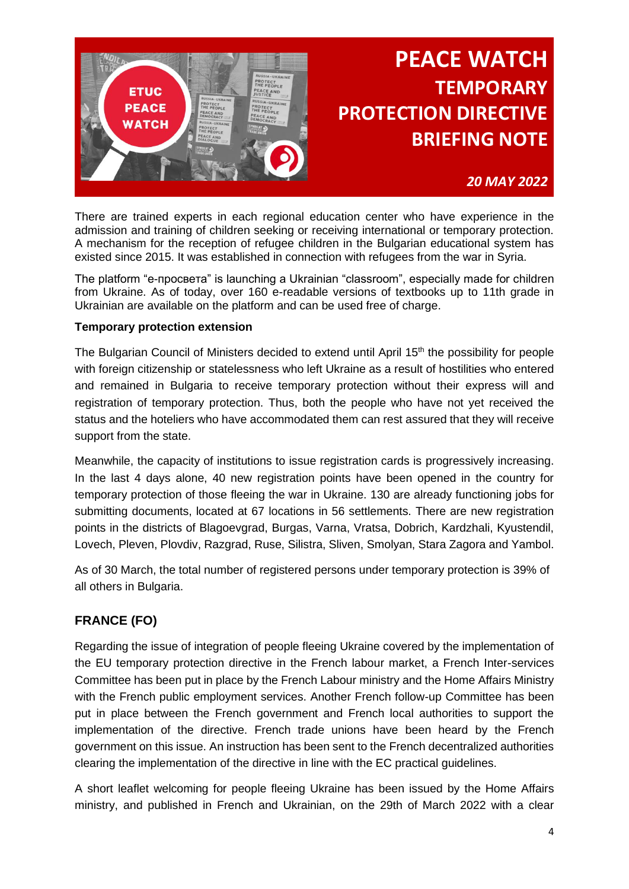

### *20 MAY 2022*

There are trained experts in each regional education center who have experience in the admission and training of children seeking or receiving international or temporary protection. A mechanism for the reception of refugee children in the Bulgarian educational system has existed since 2015. It was established in connection with refugees from the war in Syria.

The platform "е-просвета" is launching a Ukrainian "classroom", especially made for children from Ukraine. As of today, over 160 e-readable versions of textbooks up to 11th grade in Ukrainian are available on the platform and can be used free of charge.

#### **Temporary protection extension**

The Bulgarian Council of Ministers decided to extend until April 15<sup>th</sup> the possibility for people with foreign citizenship or statelessness who left Ukraine as a result of hostilities who entered and remained in Bulgaria to receive temporary protection without their express will and registration of temporary protection. Thus, both the people who have not yet received the status and the hoteliers who have accommodated them can rest assured that they will receive support from the state.

Meanwhile, the capacity of institutions to issue registration cards is progressively increasing. In the last 4 days alone, 40 new registration points have been opened in the country for temporary protection of those fleeing the war in Ukraine. 130 are already functioning jobs for submitting documents, located at 67 locations in 56 settlements. There are new registration points in the districts of Blagoevgrad, Burgas, Varna, Vratsa, Dobrich, Kardzhali, Kyustendil, Lovech, Pleven, Plovdiv, Razgrad, Ruse, Silistra, Sliven, Smolyan, Stara Zagora and Yambol.

As of 30 March, the total number of registered persons under temporary protection is 39% of all others in Bulgaria.

### **FRANCE (FO)**

Regarding the issue of integration of people fleeing Ukraine covered by the implementation of the EU temporary protection directive in the French labour market, a French Inter-services Committee has been put in place by the French Labour ministry and the Home Affairs Ministry with the French public employment services. Another French follow-up Committee has been put in place between the French government and French local authorities to support the implementation of the directive. French trade unions have been heard by the French government on this issue. An instruction has been sent to the French decentralized authorities clearing the implementation of the directive in line with the EC practical guidelines.

A short leaflet welcoming for people fleeing Ukraine has been issued by the Home Affairs ministry, and published in French and Ukrainian, on the 29th of March 2022 with a clear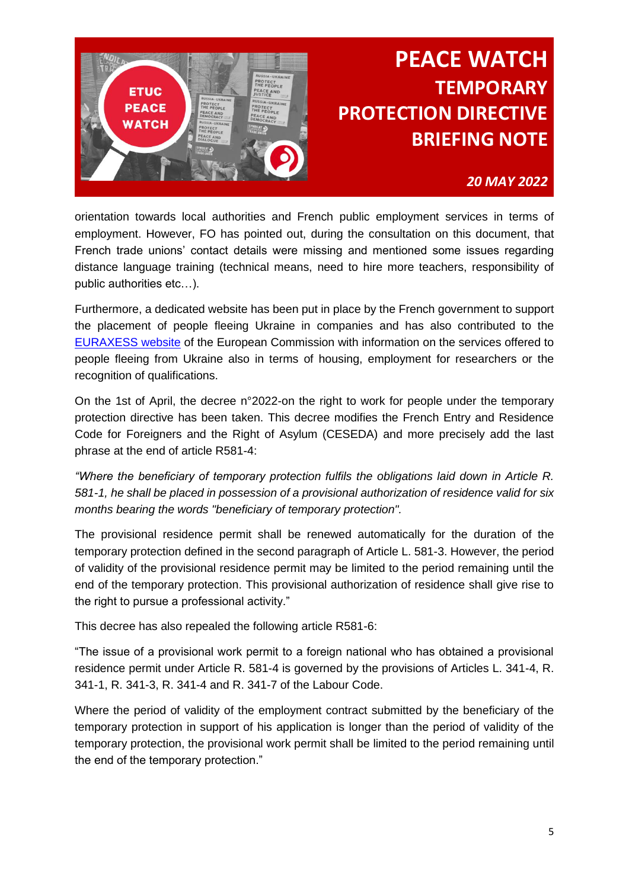

### *20 MAY 2022*

orientation towards local authorities and French public employment services in terms of employment. However, FO has pointed out, during the consultation on this document, that French trade unions' contact details were missing and mentioned some issues regarding distance language training (technical means, need to hire more teachers, responsibility of public authorities etc…).

Furthermore, a dedicated website has been put in place by the French government to support the placement of people fleeing Ukraine in companies and has also contributed to the [EURAXESS website](https://www.euraxess.fr/ukraine) of the European Commission with information on the services offered to people fleeing from Ukraine also in terms of housing, employment for researchers or the recognition of qualifications.

On the 1st of April, the decree n°2022-on the right to work for people under the temporary protection directive has been taken. This decree modifies the French Entry and Residence Code for Foreigners and the Right of Asylum (CESEDA) and more precisely add the last phrase at the end of article R581-4:

*"Where the beneficiary of temporary protection fulfils the obligations laid down in Article R. 581-1, he shall be placed in possession of a provisional authorization of residence valid for six months bearing the words "beneficiary of temporary protection".*

The provisional residence permit shall be renewed automatically for the duration of the temporary protection defined in the second paragraph of Article L. 581-3. However, the period of validity of the provisional residence permit may be limited to the period remaining until the end of the temporary protection. This provisional authorization of residence shall give rise to the right to pursue a professional activity."

This decree has also repealed the following article R581-6:

"The issue of a provisional work permit to a foreign national who has obtained a provisional residence permit under Article R. 581-4 is governed by the provisions of Articles L. 341-4, R. 341-1, R. 341-3, R. 341-4 and R. 341-7 of the Labour Code.

Where the period of validity of the employment contract submitted by the beneficiary of the temporary protection in support of his application is longer than the period of validity of the temporary protection, the provisional work permit shall be limited to the period remaining until the end of the temporary protection."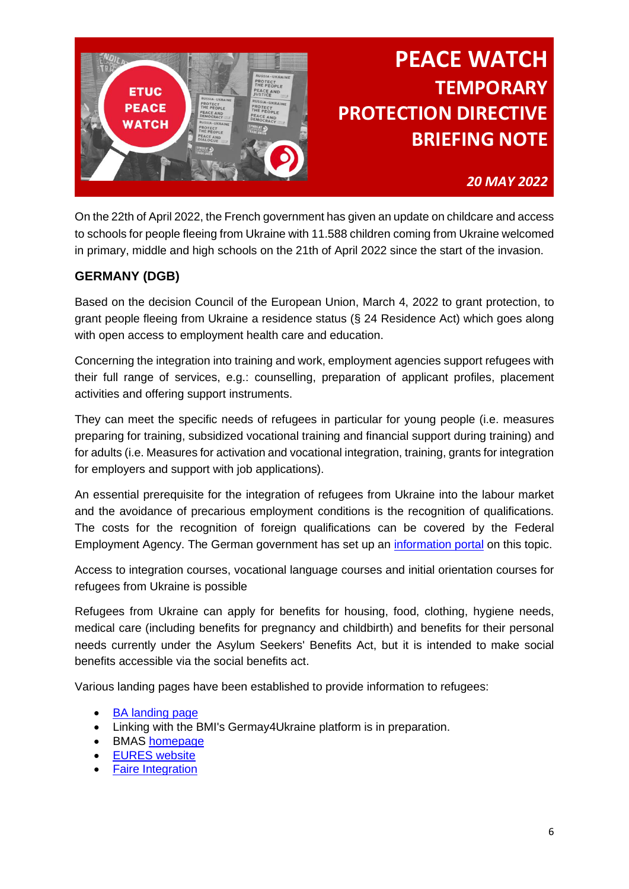

### *20 MAY 2022*

On the 22th of April 2022, the French government has given an update on childcare and access to schools for people fleeing from Ukraine with 11.588 children coming from Ukraine welcomed in primary, middle and high schools on the 21th of April 2022 since the start of the invasion.

### **GERMANY (DGB)**

Based on the decision Council of the European Union, March 4, 2022 to grant protection, to grant people fleeing from Ukraine a residence status (§ 24 Residence Act) which goes along with open access to employment health care and education.

Concerning the integration into training and work, employment agencies support refugees with their full range of services, e.g.: counselling, preparation of applicant profiles, placement activities and offering support instruments.

They can meet the specific needs of refugees in particular for young people (i.e. measures preparing for training, subsidized vocational training and financial support during training) and for adults (i.e. Measures for activation and vocational integration, training, grants for integration for employers and support with job applications).

An essential prerequisite for the integration of refugees from Ukraine into the labour market and the avoidance of precarious employment conditions is the recognition of qualifications. The costs for the recognition of foreign qualifications can be covered by the Federal Employment Agency. The German government has set up an [information portal](https://www.anerkennung-in-deutschland.de/html/de/index.php) on this topic.

Access to integration courses, vocational language courses and initial orientation courses for refugees from Ukraine is possible

Refugees from Ukraine can apply for benefits for housing, food, clothing, hygiene needs, medical care (including benefits for pregnancy and childbirth) and benefits for their personal needs currently under the Asylum Seekers' Benefits Act, but it is intended to make social benefits accessible via the social benefits act.

Various landing pages have been established to provide information to refugees:

- **BA** landing page
- Linking with the BMI's Germay4Ukraine platform is in preparation.
- BMAS [homepage](file:///C:/Users/vegenberger/Downloads/BMAS%20-%20Ukraine-Krieg:%20Informationen%20des%20BMAS)
- **EURES** website
- **[Faire Integration](https://www.faire-integration.de/)**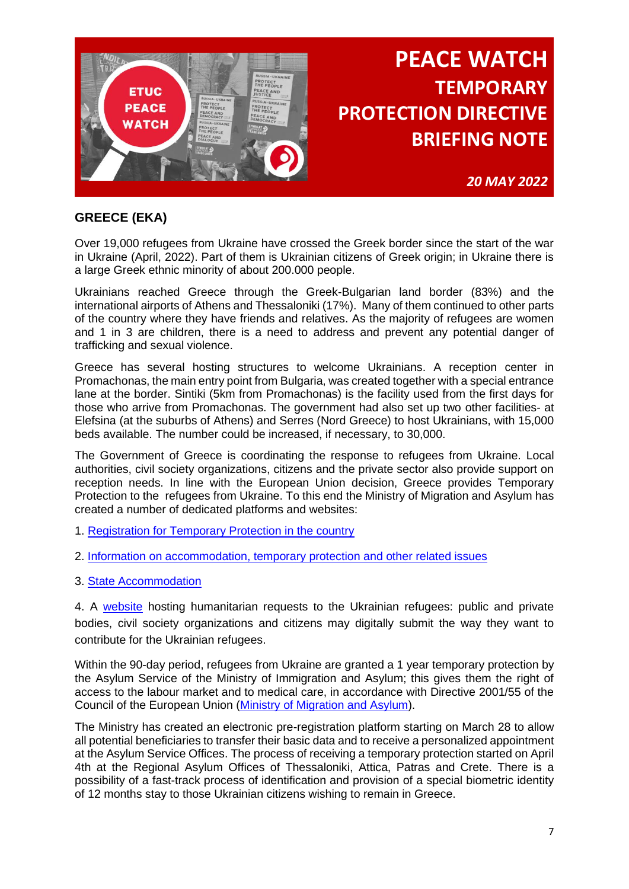

*20 MAY 2022*

## **GREECE (EKA)**

Over 19,000 refugees from Ukraine have crossed the Greek border since the start of the war in Ukraine (April, 2022). Part of them is Ukrainian citizens of Greek origin; in Ukraine there is a large Greek ethnic minority of about 200.000 people.

Ukrainians reached Greece through the Greek-Bulgarian land border (83%) and the international airports of Athens and Thessaloniki (17%). Many of them continued to other parts of the country where they have friends and relatives. As the majority of refugees are women and 1 in 3 are children, there is a need to address and prevent any potential danger of trafficking and sexual violence.

Greece has several hosting structures to welcome Ukrainians. A reception center in Promachonas, the main entry point from Bulgaria, was created together with a special entrance lane at the border. Sintiki (5km from Promachonas) is the facility used from the first days for those who arrive from Promachonas. The government had also set up two other facilities- at Elefsina (at the suburbs of Athens) and Serres (Nord Greece) to host Ukrainians, with 15,000 beds available. The number could be increased, if necessary, to 30,000.

The Government of Greece is coordinating the response to refugees from Ukraine. Local authorities, civil society organizations, citizens and the private sector also provide support on reception needs. In line with the European Union decision, Greece provides Temporary Protection to the refugees from Ukraine. To this end the Ministry of Migration and Asylum has created a number of dedicated platforms and websites:

- 1. [Registration for Temporary Protection in the country](https://apps.migration.gov.gr/temporary-protection/?lang=en)
- 2. [Information on accommodation, temporary protection and other related issues](https://migration.gov.gr/en/ukraine)
- 3. [State Accommodation](https://migration.gov.gr/accomodation-ukraine/)

4. A [website](https://migration.gov.gr/en/helpukraine/) hosting humanitarian requests to the Ukrainian refugees: public and private bodies, civil society organizations and citizens may digitally submit the way they want to contribute for the Ukrainian refugees.

Within the 90-day period, refugees from Ukraine are granted a 1 year temporary protection by the Asylum Service of the Ministry of Immigration and Asylum; this gives them the right of access to the labour market and to medical care, in accordance with Directive 2001/55 of the Council of the European Union [\(Ministry of Migration and Asylum\)](https://migration.gov.gr/wp-content/uploads/2022/03/Info-for-Displaced-People-from-Ukraine-Final-2-3-22.pdf)).

The Ministry has created an electronic pre-registration platform starting on March 28 to allow all potential beneficiaries to transfer their basic data and to receive a personalized appointment at the Asylum Service Offices. The process of receiving a temporary protection started on April 4th at the Regional Asylum Offices of Thessaloniki, Attica, Patras and Crete. There is a possibility of a fast-track process of identification and provision of a special biometric identity of 12 months stay to those Ukrainian citizens wishing to remain in Greece.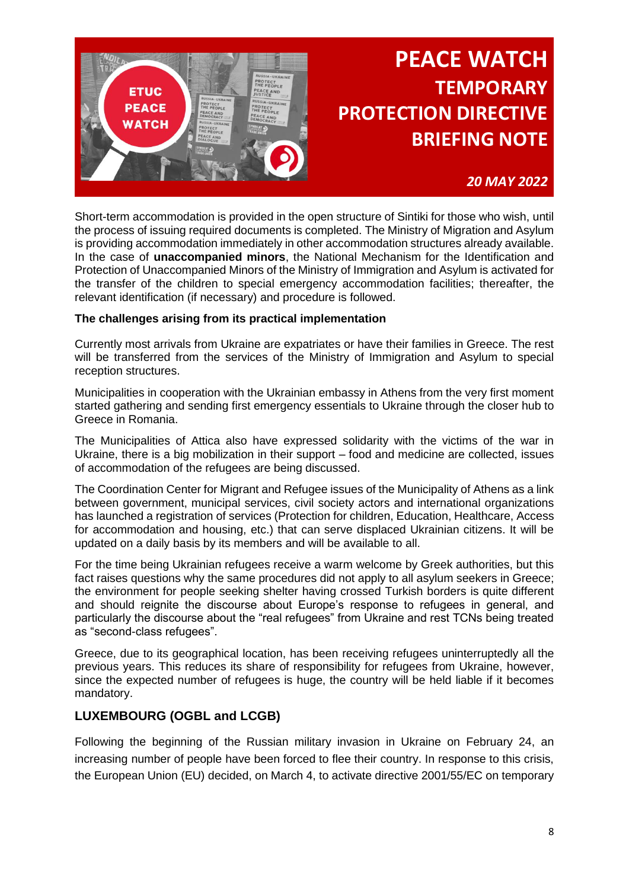

### *20 MAY 2022*

Short-term accommodation is provided in the open structure of Sintiki for those who wish, until the process of issuing required documents is completed. The Ministry of Migration and Asylum is providing accommodation immediately in other accommodation structures already available. In the case of **unaccompanied minors**, the National Mechanism for the Identification and Protection of Unaccompanied Minors of the Ministry of Immigration and Asylum is activated for the transfer of the children to special emergency accommodation facilities; thereafter, the relevant identification (if necessary) and procedure is followed.

#### **The challenges arising from its practical implementation**

Currently most arrivals from Ukraine are expatriates or have their families in Greece. The rest will be transferred from the services of the Ministry of Immigration and Asylum to special reception structures.

Municipalities in cooperation with the Ukrainian embassy in Athens from the very first moment started gathering and sending first emergency essentials to Ukraine through the closer hub to Greece in Romania.

The Municipalities of Attica also have expressed solidarity with the victims of the war in Ukraine, there is a big mobilization in their support – food and medicine are collected, issues of accommodation of the refugees are being discussed.

The Coordination Center for Migrant and Refugee issues of the Municipality of Athens as a link between government, municipal services, civil society actors and international organizations has launched a registration of services (Protection for children, Education, Healthcare, Access for accommodation and housing, etc.) that can serve displaced Ukrainian citizens. It will be updated on a daily basis by its members and will be available to all.

For the time being Ukrainian refugees receive a warm welcome by Greek authorities, but this fact raises questions why the same procedures did not apply to all asylum seekers in Greece; the environment for people seeking shelter having crossed Turkish borders is quite different and should reignite the discourse about Europe's response to refugees in general, and particularly the discourse about the "real refugees" from Ukraine and rest TCNs being treated as "second-class refugees".

Greece, due to its geographical location, has been receiving refugees uninterruptedly all the previous years. This reduces its share of responsibility for refugees from Ukraine, however, since the expected number of refugees is huge, the country will be held liable if it becomes mandatory.

### **LUXEMBOURG (OGBL and LCGB)**

Following the beginning of the Russian military invasion in Ukraine on February 24, an increasing number of people have been forced to flee their country. In response to this crisis, the European Union (EU) decided, on March 4, to activate directive 2001/55/EC on temporary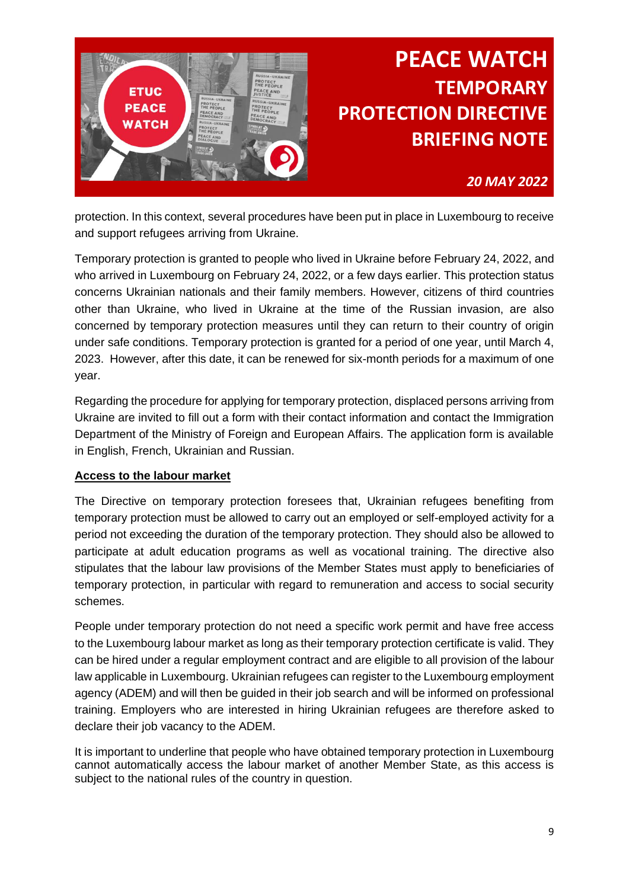

### *20 MAY 2022*

protection. In this context, several procedures have been put in place in Luxembourg to receive and support refugees arriving from Ukraine.

Temporary protection is granted to people who lived in Ukraine before February 24, 2022, and who arrived in Luxembourg on February 24, 2022, or a few days earlier. This protection status concerns Ukrainian nationals and their family members. However, citizens of third countries other than Ukraine, who lived in Ukraine at the time of the Russian invasion, are also concerned by temporary protection measures until they can return to their country of origin under safe conditions. Temporary protection is granted for a period of one year, until March 4, 2023. However, after this date, it can be renewed for six-month periods for a maximum of one year.

Regarding the procedure for applying for temporary protection, displaced persons arriving from Ukraine are invited to fill out a form with their contact information and contact the Immigration Department of the Ministry of Foreign and European Affairs. The application form is available in English, French, Ukrainian and Russian.

### **Access to the labour market**

The Directive on temporary protection foresees that, Ukrainian refugees benefiting from temporary protection must be allowed to carry out an employed or self-employed activity for a period not exceeding the duration of the temporary protection. They should also be allowed to participate at adult education programs as well as vocational training. The directive also stipulates that the labour law provisions of the Member States must apply to beneficiaries of temporary protection, in particular with regard to remuneration and access to social security schemes.

People under temporary protection do not need a specific work permit and have free access to the Luxembourg labour market as long as their temporary protection certificate is valid. They can be hired under a regular employment contract and are eligible to all provision of the labour law applicable in Luxembourg. Ukrainian refugees can register to the Luxembourg employment agency (ADEM) and will then be guided in their job search and will be informed on professional training. Employers who are interested in hiring Ukrainian refugees are therefore asked to declare their job vacancy to the ADEM.

It is important to underline that people who have obtained temporary protection in Luxembourg cannot automatically access the labour market of another Member State, as this access is subject to the national rules of the country in question.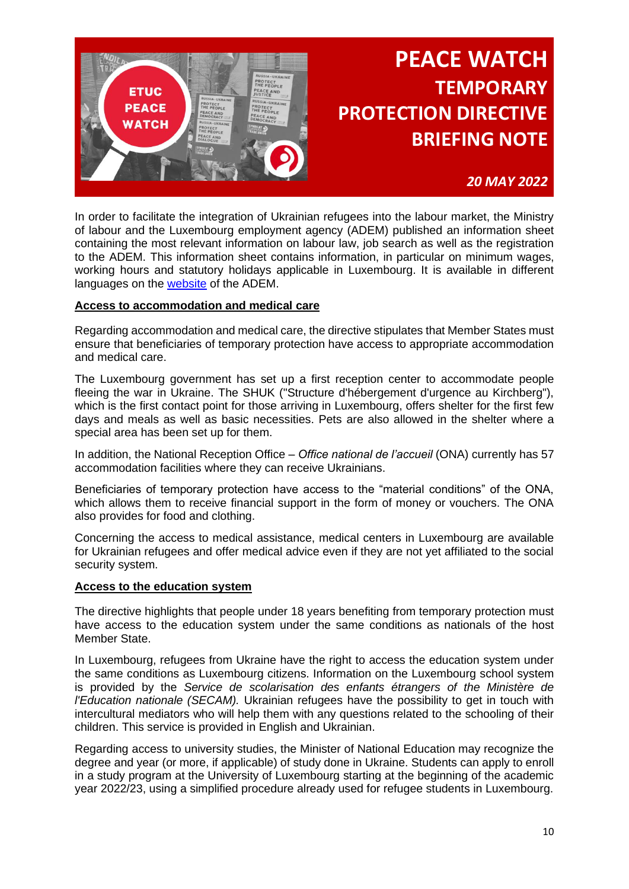

### *20 MAY 2022*

In order to facilitate the integration of Ukrainian refugees into the labour market, the Ministry of labour and the Luxembourg employment agency (ADEM) published an information sheet containing the most relevant information on labour law, job search as well as the registration to the ADEM. This information sheet contains information, in particular on minimum wages, working hours and statutory holidays applicable in Luxembourg. It is available in different languages on the [website](http://www.adem.public.lu/en/actualites/adem/2022/03/ukraine-info.html.) of the ADEM.

#### **Access to accommodation and medical care**

Regarding accommodation and medical care, the directive stipulates that Member States must ensure that beneficiaries of temporary protection have access to appropriate accommodation and medical care.

The Luxembourg government has set up a first reception center to accommodate people fleeing the war in Ukraine. The SHUK ("Structure d'hébergement d'urgence au Kirchberg"), which is the first contact point for those arriving in Luxembourg, offers shelter for the first few days and meals as well as basic necessities. Pets are also allowed in the shelter where a special area has been set up for them.

In addition, the National Reception Office – *Office national de l'accueil* (ONA) currently has 57 accommodation facilities where they can receive Ukrainians.

Beneficiaries of temporary protection have access to the "material conditions" of the ONA, which allows them to receive financial support in the form of money or vouchers. The ONA also provides for food and clothing.

Concerning the access to medical assistance, medical centers in Luxembourg are available for Ukrainian refugees and offer medical advice even if they are not yet affiliated to the social security system.

#### **Access to the education system**

The directive highlights that people under 18 years benefiting from temporary protection must have access to the education system under the same conditions as nationals of the host Member State.

In Luxembourg, refugees from Ukraine have the right to access the education system under the same conditions as Luxembourg citizens. Information on the Luxembourg school system is provided by the *Service de scolarisation des enfants étrangers of the Ministère de l'Education nationale (SECAM).* Ukrainian refugees have the possibility to get in touch with intercultural mediators who will help them with any questions related to the schooling of their children. This service is provided in English and Ukrainian.

Regarding access to university studies, the Minister of National Education may recognize the degree and year (or more, if applicable) of study done in Ukraine. Students can apply to enroll in a study program at the University of Luxembourg starting at the beginning of the academic year 2022/23, using a simplified procedure already used for refugee students in Luxembourg.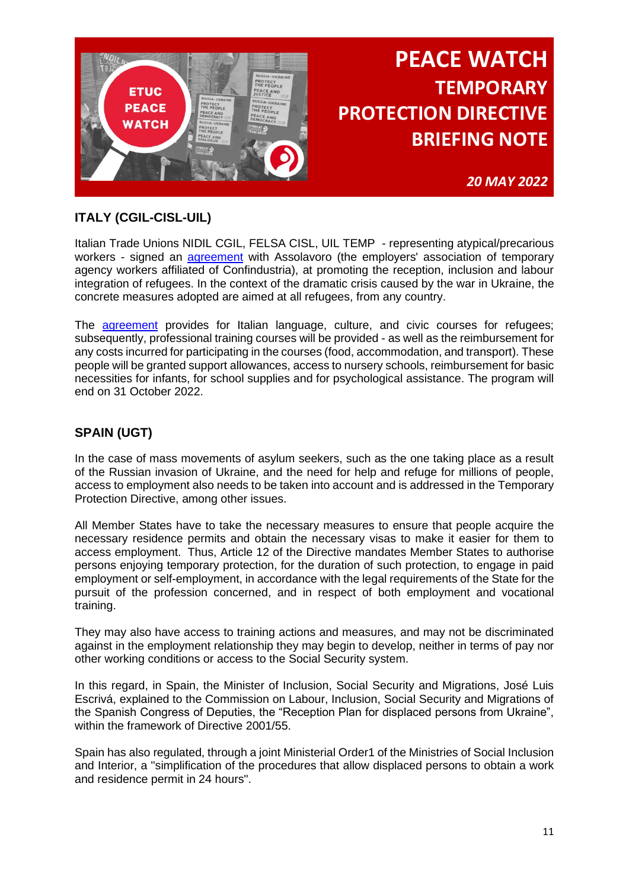

*20 MAY 2022*

## **ITALY (CGIL-CISL-UIL)**

Italian Trade Unions NIDIL CGIL, FELSA CISL, UIL TEMP - representing atypical/precarious workers - signed an [agreement](https://etuc-my.sharepoint.com/:b:/g/personal/mmiletti_etuc_org/EfGav319ZxRIsoGhw3BOVD8B9nbI0dQk_j9SBK-yuGrYiA?e=kkBhIb) with Assolavoro (the employers' association of temporary agency workers affiliated of Confindustria), at promoting the reception, inclusion and labour integration of refugees. In the context of the dramatic crisis caused by the war in Ukraine, the concrete measures adopted are aimed at all refugees, from any country.

The [agreement](https://etuc-my.sharepoint.com/:b:/g/personal/mmiletti_etuc_org/EZCY6fOTKCVIiZ9ofM7l0f0BTyRDnJYq_VYT74dKvMpFSw?e=I6GROM) provides for Italian language, culture, and civic courses for refugees; subsequently, professional training courses will be provided - as well as the reimbursement for any costs incurred for participating in the courses (food, accommodation, and transport). These people will be granted support allowances, access to nursery schools, reimbursement for basic necessities for infants, for school supplies and for psychological assistance. The program will end on 31 October 2022.

## **SPAIN (UGT)**

In the case of mass movements of asylum seekers, such as the one taking place as a result of the Russian invasion of Ukraine, and the need for help and refuge for millions of people, access to employment also needs to be taken into account and is addressed in the Temporary Protection Directive, among other issues.

All Member States have to take the necessary measures to ensure that people acquire the necessary residence permits and obtain the necessary visas to make it easier for them to access employment. Thus, Article 12 of the Directive mandates Member States to authorise persons enjoying temporary protection, for the duration of such protection, to engage in paid employment or self-employment, in accordance with the legal requirements of the State for the pursuit of the profession concerned, and in respect of both employment and vocational training.

They may also have access to training actions and measures, and may not be discriminated against in the employment relationship they may begin to develop, neither in terms of pay nor other working conditions or access to the Social Security system.

In this regard, in Spain, the Minister of Inclusion, Social Security and Migrations, José Luis Escrivá, explained to the Commission on Labour, Inclusion, Social Security and Migrations of the Spanish Congress of Deputies, the "Reception Plan for displaced persons from Ukraine", within the framework of Directive 2001/55.

Spain has also regulated, through a joint Ministerial Order1 of the Ministries of Social Inclusion and Interior, a "simplification of the procedures that allow displaced persons to obtain a work and residence permit in 24 hours".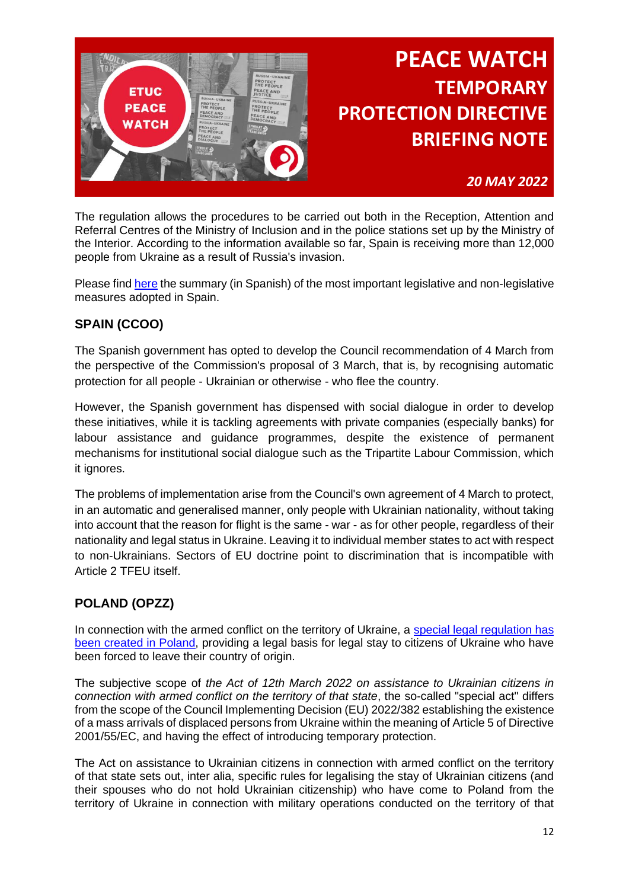

### *20 MAY 2022*

The regulation allows the procedures to be carried out both in the Reception, Attention and Referral Centres of the Ministry of Inclusion and in the police stations set up by the Ministry of the Interior. According to the information available so far, Spain is receiving more than 12,000 people from Ukraine as a result of Russia's invasion.

Please find [here](https://etuc-my.sharepoint.com/:b:/g/personal/mmiletti_etuc_org/EUfok2nAuNhDne3kQjdh0D8BF_Cvbuiyn-Vgp5hWTpMYfA?e=jssRFc) the summary (in Spanish) of the most important legislative and non-legislative measures adopted in Spain.

### **SPAIN (CCOO)**

The Spanish government has opted to develop the Council recommendation of 4 March from the perspective of the Commission's proposal of 3 March, that is, by recognising automatic protection for all people - Ukrainian or otherwise - who flee the country.

However, the Spanish government has dispensed with social dialogue in order to develop these initiatives, while it is tackling agreements with private companies (especially banks) for labour assistance and guidance programmes, despite the existence of permanent mechanisms for institutional social dialogue such as the Tripartite Labour Commission, which it ignores.

The problems of implementation arise from the Council's own agreement of 4 March to protect, in an automatic and generalised manner, only people with Ukrainian nationality, without taking into account that the reason for flight is the same - war - as for other people, regardless of their nationality and legal status in Ukraine. Leaving it to individual member states to act with respect to non-Ukrainians. Sectors of EU doctrine point to discrimination that is incompatible with Article 2 TFEU itself.

### **POLAND (OPZZ)**

In connection with the armed conflict on the territory of Ukraine, a special legal regulation has [been created in Poland,](https://www.gov.pl/web/udsc-en/the-law-on-assistance-to-ukrainian-citizens-in-connection-with-the-armed-conflict-on-the-territory-of-the-country-has-entered-into-force) providing a legal basis for legal stay to citizens of Ukraine who have been forced to leave their country of origin.

The subjective scope of *the Act of 12th March 2022 on assistance to Ukrainian citizens in connection with armed conflict on the territory of that state*, the so-called "special act" differs from the scope of the Council Implementing Decision (EU) 2022/382 establishing the existence of a mass arrivals of displaced persons from Ukraine within the meaning of Article 5 of Directive 2001/55/EC, and having the effect of introducing temporary protection.

The Act on assistance to Ukrainian citizens in connection with armed conflict on the territory of that state sets out, inter alia, specific rules for legalising the stay of Ukrainian citizens (and their spouses who do not hold Ukrainian citizenship) who have come to Poland from the territory of Ukraine in connection with military operations conducted on the territory of that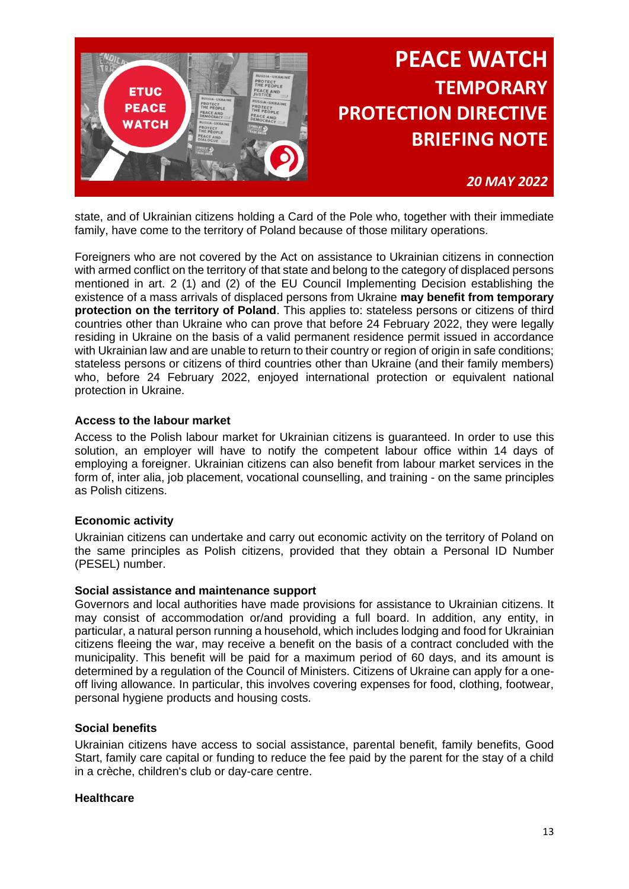

*20 MAY 2022*

state, and of Ukrainian citizens holding a Card of the Pole who, together with their immediate family, have come to the territory of Poland because of those military operations.

Foreigners who are not covered by the Act on assistance to Ukrainian citizens in connection with armed conflict on the territory of that state and belong to the category of displaced persons mentioned in art. 2 (1) and (2) of the EU Council Implementing Decision establishing the existence of a mass arrivals of displaced persons from Ukraine **may benefit from temporary protection on the territory of Poland**. This applies to: stateless persons or citizens of third countries other than Ukraine who can prove that before 24 February 2022, they were legally residing in Ukraine on the basis of a valid permanent residence permit issued in accordance with Ukrainian law and are unable to return to their country or region of origin in safe conditions; stateless persons or citizens of third countries other than Ukraine (and their family members) who, before 24 February 2022, enjoyed international protection or equivalent national protection in Ukraine.

#### **Access to the labour market**

Access to the Polish labour market for Ukrainian citizens is guaranteed. In order to use this solution, an employer will have to notify the competent labour office within 14 days of employing a foreigner. Ukrainian citizens can also benefit from labour market services in the form of, inter alia, job placement, vocational counselling, and training - on the same principles as Polish citizens.

#### **Economic activity**

Ukrainian citizens can undertake and carry out economic activity on the territory of Poland on the same principles as Polish citizens, provided that they obtain a Personal ID Number (PESEL) number.

#### **Social assistance and maintenance support**

Governors and local authorities have made provisions for assistance to Ukrainian citizens. It may consist of accommodation or/and providing a full board. In addition, any entity, in particular, a natural person running a household, which includes lodging and food for Ukrainian citizens fleeing the war, may receive a benefit on the basis of a contract concluded with the municipality. This benefit will be paid for a maximum period of 60 days, and its amount is determined by a regulation of the Council of Ministers. Citizens of Ukraine can apply for a oneoff living allowance. In particular, this involves covering expenses for food, clothing, footwear, personal hygiene products and housing costs.

#### **Social benefits**

Ukrainian citizens have access to social assistance, parental benefit, family benefits, Good Start, family care capital or funding to reduce the fee paid by the parent for the stay of a child in a crèche, children's club or day-care centre.

#### **Healthcare**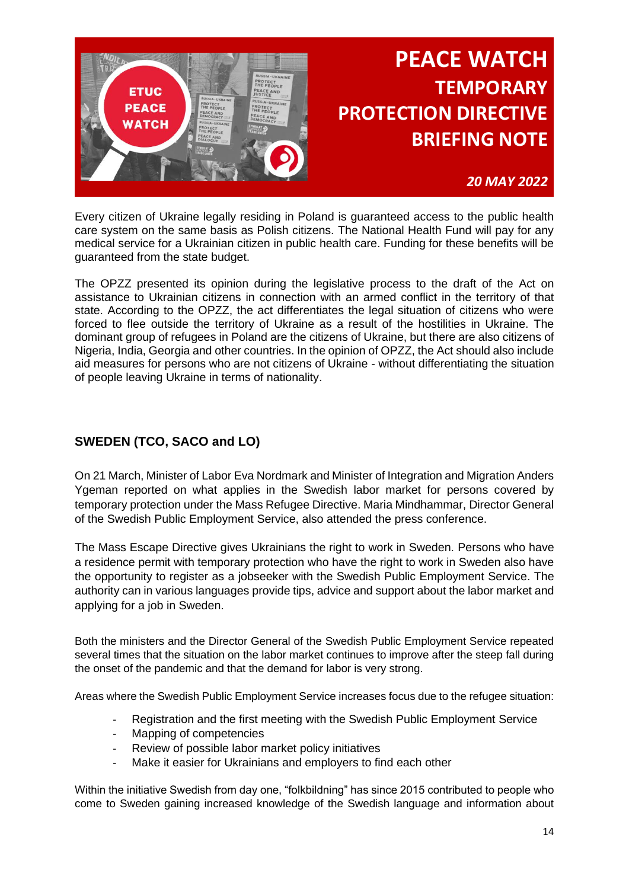

### *20 MAY 2022*

Every citizen of Ukraine legally residing in Poland is guaranteed access to the public health care system on the same basis as Polish citizens. The National Health Fund will pay for any medical service for a Ukrainian citizen in public health care. Funding for these benefits will be guaranteed from the state budget.

The OPZZ presented its opinion during the legislative process to the draft of the Act on assistance to Ukrainian citizens in connection with an armed conflict in the territory of that state. According to the OPZZ, the act differentiates the legal situation of citizens who were forced to flee outside the territory of Ukraine as a result of the hostilities in Ukraine. The dominant group of refugees in Poland are the citizens of Ukraine, but there are also citizens of Nigeria, India, Georgia and other countries. In the opinion of OPZZ, the Act should also include aid measures for persons who are not citizens of Ukraine - without differentiating the situation of people leaving Ukraine in terms of nationality.

## **SWEDEN (TCO, SACO and LO)**

On 21 March, Minister of Labor Eva Nordmark and Minister of Integration and Migration Anders Ygeman reported on what applies in the Swedish labor market for persons covered by temporary protection under the Mass Refugee Directive. Maria Mindhammar, Director General of the Swedish Public Employment Service, also attended the press conference.

The Mass Escape Directive gives Ukrainians the right to work in Sweden. Persons who have a residence permit with temporary protection who have the right to work in Sweden also have the opportunity to register as a jobseeker with the Swedish Public Employment Service. The authority can in various languages provide tips, advice and support about the labor market and applying for a job in Sweden.

Both the ministers and the Director General of the Swedish Public Employment Service repeated several times that the situation on the labor market continues to improve after the steep fall during the onset of the pandemic and that the demand for labor is very strong.

Areas where the Swedish Public Employment Service increases focus due to the refugee situation:

- Registration and the first meeting with the Swedish Public Employment Service
- Mapping of competencies
- Review of possible labor market policy initiatives
- Make it easier for Ukrainians and employers to find each other

Within the initiative Swedish from day one, "folkbildning" has since 2015 contributed to people who come to Sweden gaining increased knowledge of the Swedish language and information about